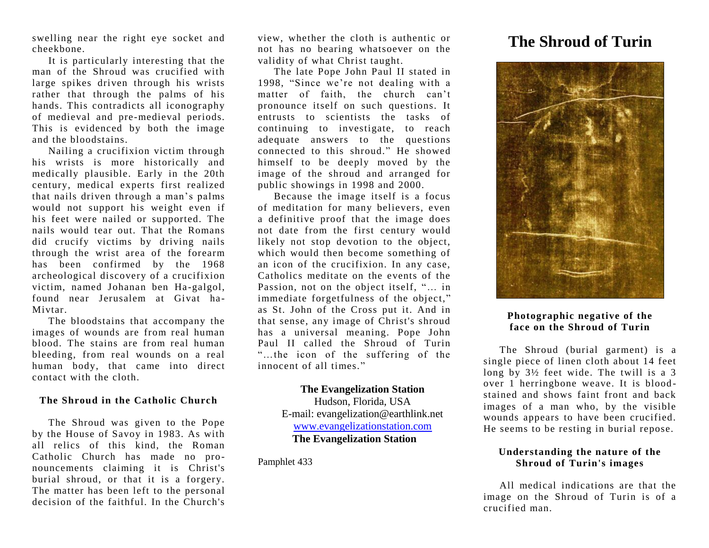swelling near the right eye socket and cheekbone.

It is particularly interesting that the man of the Shroud was crucified with large spikes driven through his wrists rather that through the palms of his hands. This contradicts all iconography of medieval and pre-medieval periods. This is evidenced by both the image and the bloodstains.

Nailing a crucifixion victim through his wrists is more historically and medically plausible. Early in the 20th century, medical experts first realized that nails driven through a man's palms would not support his weight even if his feet were nailed or supported. The nails would tear out. That the Romans did crucify victims by driving nails through the wrist area of the forearm has been confirmed by the 1968 archeological discovery of a crucifixion victim, named Johanan ben Ha -galgol, found near Jerusalem at Givat ha-Mivtar.

The bloodstains that accompany the images of wounds are from real human blood. The stains are from real human bleeding, from real wounds on a real human body, that came into direct contact with the cloth.

#### **The Shroud in the Catholic Church**

The Shroud was given to the Pope by the House of Savoy in 1983. As with all relics of this kind, the Roman Catholic Church has made no pronouncements claiming it is Christ's burial shroud, or that it is a forgery. The matter has been left to the personal decision of the faithful. In the Church's

view, whether the cloth is authentic or not has no bearing whatsoever on the validity of what Christ taught.

The late Pope John Paul II stated in 1998, "Since we're not dealing with a matter of faith, the church can't pronounce itself on such questions. It entrusts to scientists the tasks of continuing to investigate, to reach adequate answers to the questions connected to this shroud." He showed himself to be deeply moved by the image of the shroud and arranged for public showings in 1998 and 2000.

Because the image itself is a focus of meditation for many believers, even a definitive proof that the image does not date from the first century would likely not stop devotion to the object, which would then become something of an icon of the crucifixion. In any case, Catholics meditate on the events of the Passion, not on the object itself, "… in immediate forgetfulness of the object," as St. John of the Cross put it. And in that sense, any image of Christ's shroud has a universal meaning. Pope John Paul II called the Shroud of Turin "…the icon of the suffering of the innocent of all times."

#### **The Evangelization Station**

Hudson, Florida, USA E-mail: evangelization@earthlink.net [www.evangelizationstation.com](http://www.pjpiisoe.org/) **The Evangelization Station**

Pamphlet 433

# **The Shroud of Turin**



## **Photographic negative of the face on the Shroud of Turin**

The Shroud (burial garment) is a single piece of linen cloth about 14 feet long by 3½ feet wide. The twill is a 3 over 1 herringbone weave. It is blood stained and shows faint front and back images of a man who, by the visible wounds appears to have been crucified. He seems to be resting in burial repose.

## **Understanding the nature of the Shroud of Turin's images**

All medical indications are that the image on the Shroud of Turin is of a crucified man.